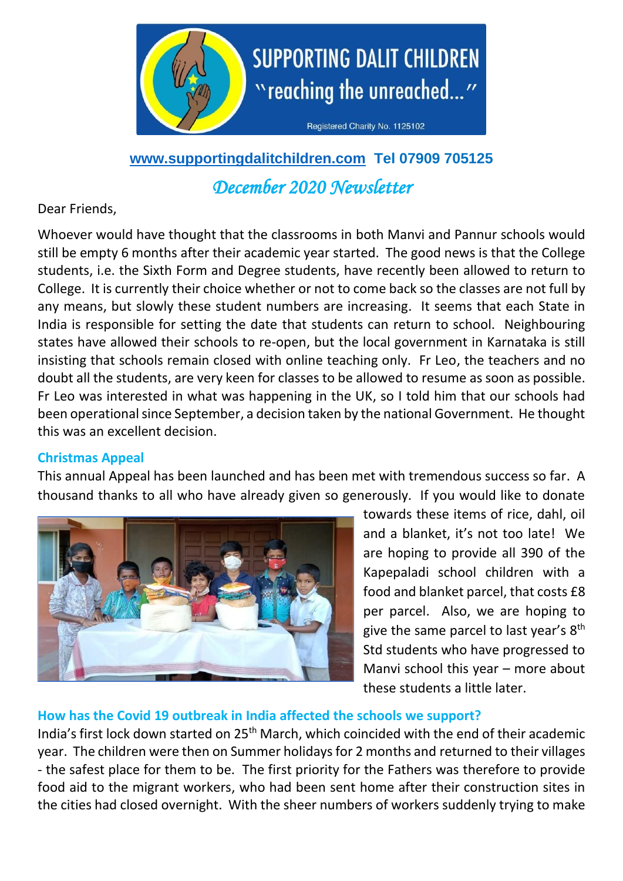

**[www.supportingdalitchildren.com](http://www.supportingdalitchildren.com/) Tel 07909 705125**

*December 2020 Newsletter* 

# Dear Friends,

Whoever would have thought that the classrooms in both Manvi and Pannur schools would still be empty 6 months after their academic year started. The good news is that the College students, i.e. the Sixth Form and Degree students, have recently been allowed to return to College. It is currently their choice whether or not to come back so the classes are not full by any means, but slowly these student numbers are increasing. It seems that each State in India is responsible for setting the date that students can return to school. Neighbouring states have allowed their schools to re-open, but the local government in Karnataka is still insisting that schools remain closed with online teaching only. Fr Leo, the teachers and no doubt all the students, are very keen for classes to be allowed to resume as soon as possible. Fr Leo was interested in what was happening in the UK, so I told him that our schools had been operational since September, a decision taken by the national Government. He thought this was an excellent decision.

## **Christmas Appeal**

This annual Appeal has been launched and has been met with tremendous success so far. A thousand thanks to all who have already given so generously. If you would like to donate



towards these items of rice, dahl, oil and a blanket, it's not too late! We are hoping to provide all 390 of the Kapepaladi school children with a food and blanket parcel, that costs £8 per parcel. Also, we are hoping to give the same parcel to last year's 8<sup>th</sup> Std students who have progressed to Manvi school this year – more about these students a little later.

## **How has the Covid 19 outbreak in India affected the schools we support?**

India's first lock down started on 25<sup>th</sup> March, which coincided with the end of their academic year. The children were then on Summer holidays for 2 months and returned to their villages - the safest place for them to be. The first priority for the Fathers was therefore to provide food aid to the migrant workers, who had been sent home after their construction sites in the cities had closed overnight. With the sheer numbers of workers suddenly trying to make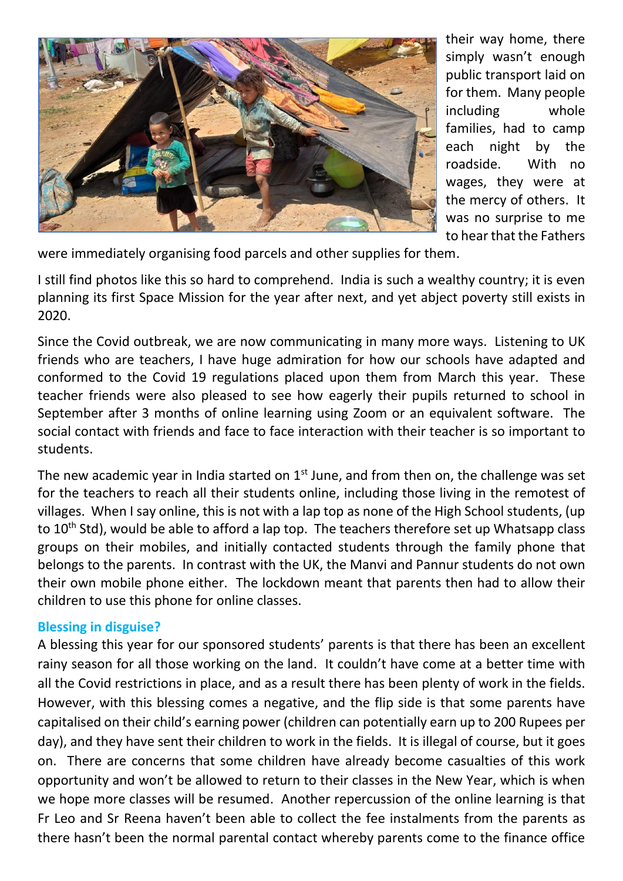

their way home, there simply wasn't enough public transport laid on for them. Many people including whole families, had to camp each night by the roadside. With no wages, they were at the mercy of others. It was no surprise to me to hear that the Fathers

were immediately organising food parcels and other supplies for them.

I still find photos like this so hard to comprehend. India is such a wealthy country; it is even planning its first Space Mission for the year after next, and yet abject poverty still exists in 2020.

Since the Covid outbreak, we are now communicating in many more ways. Listening to UK friends who are teachers, I have huge admiration for how our schools have adapted and conformed to the Covid 19 regulations placed upon them from March this year. These teacher friends were also pleased to see how eagerly their pupils returned to school in September after 3 months of online learning using Zoom or an equivalent software. The social contact with friends and face to face interaction with their teacher is so important to students.

The new academic year in India started on  $1<sup>st</sup>$  June, and from then on, the challenge was set for the teachers to reach all their students online, including those living in the remotest of villages. When I say online, this is not with a lap top as none of the High School students, (up to 10<sup>th</sup> Std), would be able to afford a lap top. The teachers therefore set up Whatsapp class groups on their mobiles, and initially contacted students through the family phone that belongs to the parents. In contrast with the UK, the Manvi and Pannur students do not own their own mobile phone either. The lockdown meant that parents then had to allow their children to use this phone for online classes.

### **Blessing in disguise?**

A blessing this year for our sponsored students' parents is that there has been an excellent rainy season for all those working on the land. It couldn't have come at a better time with all the Covid restrictions in place, and as a result there has been plenty of work in the fields. However, with this blessing comes a negative, and the flip side is that some parents have capitalised on their child's earning power (children can potentially earn up to 200 Rupees per day), and they have sent their children to work in the fields. It is illegal of course, but it goes on. There are concerns that some children have already become casualties of this work opportunity and won't be allowed to return to their classes in the New Year, which is when we hope more classes will be resumed. Another repercussion of the online learning is that Fr Leo and Sr Reena haven't been able to collect the fee instalments from the parents as there hasn't been the normal parental contact whereby parents come to the finance office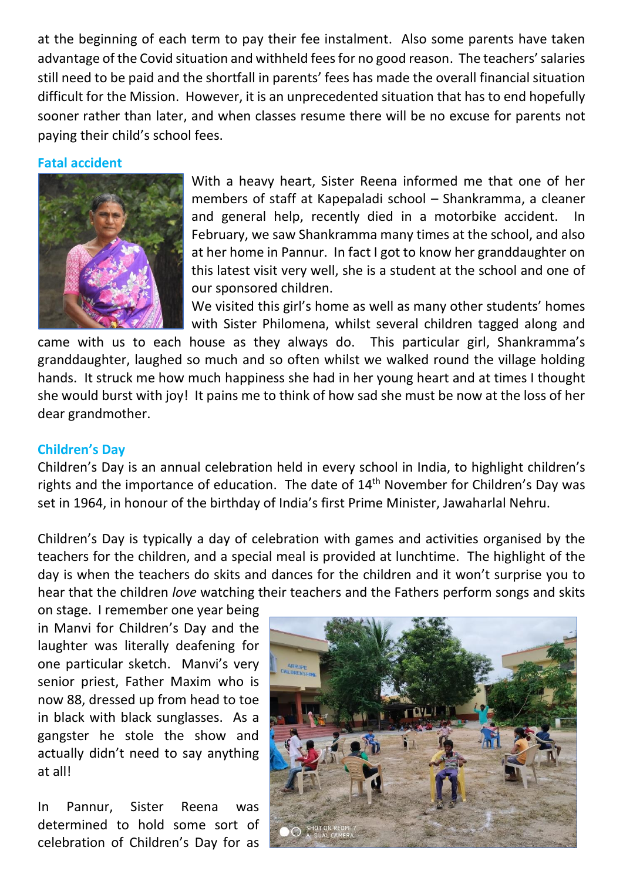at the beginning of each term to pay their fee instalment. Also some parents have taken advantage of the Covid situation and withheld fees for no good reason. The teachers' salaries still need to be paid and the shortfall in parents' fees has made the overall financial situation difficult for the Mission. However, it is an unprecedented situation that has to end hopefully sooner rather than later, and when classes resume there will be no excuse for parents not paying their child's school fees.

#### **Fatal accident**



With a heavy heart, Sister Reena informed me that one of her members of staff at Kapepaladi school – Shankramma, a cleaner and general help, recently died in a motorbike accident. In February, we saw Shankramma many times at the school, and also at her home in Pannur. In fact I got to know her granddaughter on this latest visit very well, she is a student at the school and one of our sponsored children.

We visited this girl's home as well as many other students' homes with Sister Philomena, whilst several children tagged along and

came with us to each house as they always do. This particular girl, Shankramma's granddaughter, laughed so much and so often whilst we walked round the village holding hands. It struck me how much happiness she had in her young heart and at times I thought she would burst with joy! It pains me to think of how sad she must be now at the loss of her dear grandmother.

### **Children's Day**

Children's Day is an annual celebration held in every school in India, to highlight children's rights and the importance of education. The date of  $14<sup>th</sup>$  November for Children's Day was set in 1964, in honour of the birthday of India's first Prime Minister, Jawaharlal Nehru.

Children's Day is typically a day of celebration with games and activities organised by the teachers for the children, and a special meal is provided at lunchtime. The highlight of the day is when the teachers do skits and dances for the children and it won't surprise you to hear that the children *love* watching their teachers and the Fathers perform songs and skits

on stage. I remember one year being in Manvi for Children's Day and the laughter was literally deafening for one particular sketch. Manvi's very senior priest, Father Maxim who is now 88, dressed up from head to toe in black with black sunglasses. As a gangster he stole the show and actually didn't need to say anything at all!

In Pannur, Sister Reena was determined to hold some sort of celebration of Children's Day for as

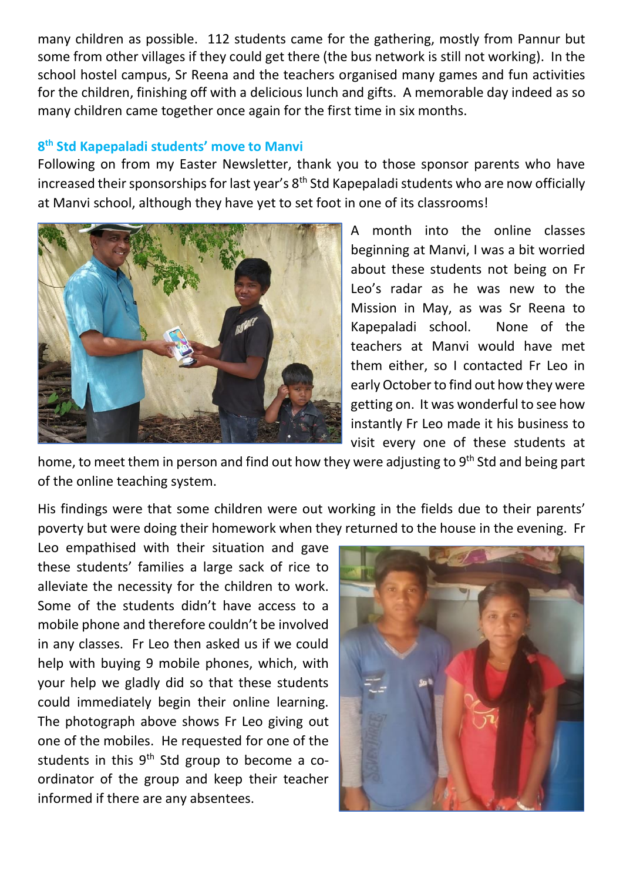many children as possible. 112 students came for the gathering, mostly from Pannur but some from other villages if they could get there (the bus network is still not working). In the school hostel campus, Sr Reena and the teachers organised many games and fun activities for the children, finishing off with a delicious lunch and gifts. A memorable day indeed as so many children came together once again for the first time in six months.

## **8 th Std Kapepaladi students' move to Manvi**

Following on from my Easter Newsletter, thank you to those sponsor parents who have increased their sponsorships for last year's 8<sup>th</sup> Std Kapepaladi students who are now officially at Manvi school, although they have yet to set foot in one of its classrooms!



A month into the online classes beginning at Manvi, I was a bit worried about these students not being on Fr Leo's radar as he was new to the Mission in May, as was Sr Reena to Kapepaladi school. None of the teachers at Manvi would have met them either, so I contacted Fr Leo in early October to find out how they were getting on. It was wonderful to see how instantly Fr Leo made it his business to visit every one of these students at

home, to meet them in person and find out how they were adjusting to 9<sup>th</sup> Std and being part of the online teaching system.

His findings were that some children were out working in the fields due to their parents' poverty but were doing their homework when they returned to the house in the evening. Fr

Leo empathised with their situation and gave these students' families a large sack of rice to alleviate the necessity for the children to work. Some of the students didn't have access to a mobile phone and therefore couldn't be involved in any classes. Fr Leo then asked us if we could help with buying 9 mobile phones, which, with your help we gladly did so that these students could immediately begin their online learning. The photograph above shows Fr Leo giving out one of the mobiles. He requested for one of the students in this  $9<sup>th</sup>$  Std group to become a coordinator of the group and keep their teacher informed if there are any absentees.